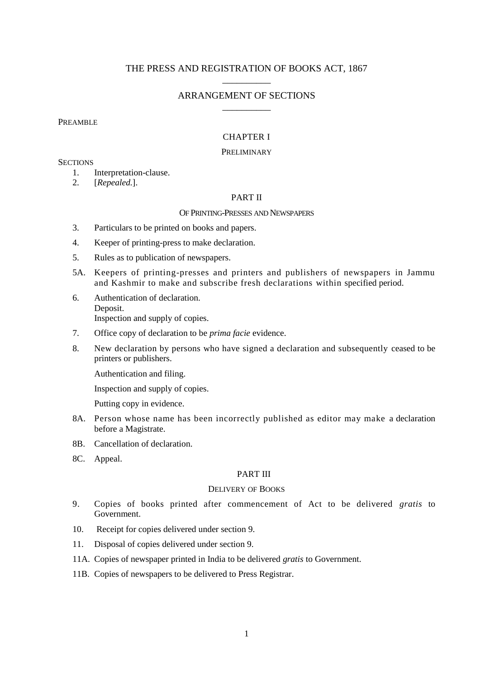# THE PRESS AND REGISTRATION OF BOOKS ACT, 1867  $\overline{\phantom{a}}$  ,  $\overline{\phantom{a}}$  ,  $\overline{\phantom{a}}$  ,  $\overline{\phantom{a}}$  ,  $\overline{\phantom{a}}$  ,  $\overline{\phantom{a}}$  ,  $\overline{\phantom{a}}$  ,  $\overline{\phantom{a}}$  ,  $\overline{\phantom{a}}$  ,  $\overline{\phantom{a}}$  ,  $\overline{\phantom{a}}$  ,  $\overline{\phantom{a}}$  ,  $\overline{\phantom{a}}$  ,  $\overline{\phantom{a}}$  ,  $\overline{\phantom{a}}$  ,  $\overline{\phantom{a}}$

# ARRANGEMENT OF SECTIONS  $\overline{\phantom{a}}$  ,  $\overline{\phantom{a}}$  ,  $\overline{\phantom{a}}$  ,  $\overline{\phantom{a}}$  ,  $\overline{\phantom{a}}$  ,  $\overline{\phantom{a}}$  ,  $\overline{\phantom{a}}$  ,  $\overline{\phantom{a}}$  ,  $\overline{\phantom{a}}$  ,  $\overline{\phantom{a}}$  ,  $\overline{\phantom{a}}$  ,  $\overline{\phantom{a}}$  ,  $\overline{\phantom{a}}$  ,  $\overline{\phantom{a}}$  ,  $\overline{\phantom{a}}$  ,  $\overline{\phantom{a}}$

## PREAMBLE

# CHAPTER I

## PRELIMINARY

## **SECTIONS**

- 1. Interpretation-clause.
- 2. [*Repealed.*].

# PART II

### OF PRINTING-PRESSES AND NEWSPAPERS

- 3. Particulars to be printed on books and papers.
- 4. Keeper of printing-press to make declaration.
- 5. Rules as to publication of newspapers.
- 5A. Keepers of printing-presses and printers and publishers of newspapers in Jammu and Kashmir to make and subscribe fresh declarations within specified period.
- 6. Authentication of declaration. Deposit. Inspection and supply of copies.
- 7. Office copy of declaration to be *prima facie* evidence.
- 8. New declaration by persons who have signed a declaration and subsequently ceased to be printers or publishers.

Authentication and filing.

Inspection and supply of copies.

Putting copy in evidence.

- 8A. Person whose name has been incorrectly published as editor may make a declaration before a Magistrate.
- 8B. Cancellation of declaration.
- 8C. Appeal.

# PART III

# DELIVERY OF BOOKS

- 9. Copies of books printed after commencement of Act to be delivered *gratis* to Government.
- 10. Receipt for copies delivered under section 9.
- 11. Disposal of copies delivered under section 9.
- 11A. Copies of newspaper printed in India to be delivered *gratis* to Government.
- 11B. Copies of newspapers to be delivered to Press Registrar.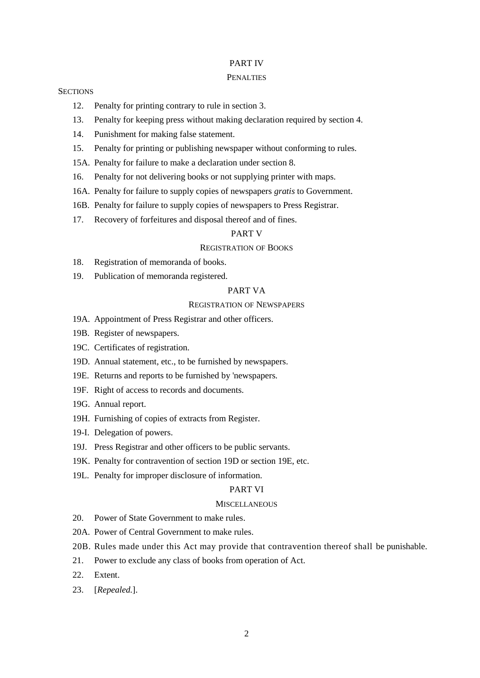# PART IV

## PENALTIES

## **SECTIONS**

- 12. Penalty for printing contrary to rule in section 3.
- 13. Penalty for keeping press without making declaration required by section 4.
- 14. Punishment for making false statement.
- 15. Penalty for printing or publishing newspaper without conforming to rules.
- 15A. Penalty for failure to make a declaration under section 8.
- 16. Penalty for not delivering books or not supplying printer with maps.
- 16A. Penalty for failure to supply copies of newspapers *gratis* to Government.
- 16B. Penalty for failure to supply copies of newspapers to Press Registrar.
- 17. Recovery of forfeitures and disposal thereof and of fines.

# PART V

# REGISTRATION OF BOOKS

- 18. Registration of memoranda of books.
- 19. Publication of memoranda registered.

# PART VA

## REGISTRATION OF NEWSPAPERS

- 19A. Appointment of Press Registrar and other officers.
- 19B. Register of newspapers.
- 19C. Certificates of registration.
- 19D. Annual statement, etc., to be furnished by newspapers.
- 19E. Returns and reports to be furnished by 'newspapers.
- 19F. Right of access to records and documents.
- 19G. Annual report.
- 19H. Furnishing of copies of extracts from Register.
- 19-I. Delegation of powers.
- 19J. Press Registrar and other officers to be public servants.
- 19K. Penalty for contravention of section 19D or section 19E, etc.
- 19L. Penalty for improper disclosure of information.

# PART VI

### **MISCELLANEOUS**

- 20. Power of State Government to make rules.
- 20A. Power of Central Government to make rules.
- 20B. Rules made under this Act may provide that contravention thereof shall be punishable.
- 21. Power to exclude any class of books from operation of Act.
- 22. Extent.
- 23. [*Repealed.*].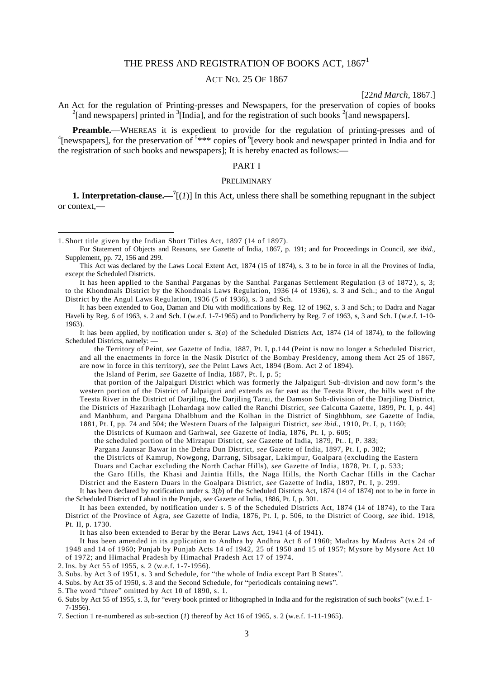# THE PRESS AND REGISTRATION OF BOOKS ACT. 1867<sup>1</sup>

# ACT NO. 25 OF 1867

[22*nd March*, 1867.]

An Act for the regulation of Printing-presses and Newspapers, for the preservation of copies of books <sup>2</sup>[and newspapers] printed in <sup>3</sup>[India], and for the registration of such books <sup>2</sup>[and newspapers].

**Preamble.—**WHEREAS it is expedient to provide for the regulation of printing-presses and of <sup>4</sup>[newspapers], for the preservation of <sup>5\*\*\*</sup> copies of <sup>6</sup>[every book and newspaper printed in India and for the registration of such books and newspapers]; It is hereby enacted as follows:**—**

# PART I

#### **PRELIMINARY**

**1. Interpretation-clause.**— $^7$ [(*1*)] In this Act, unless there shall be something repugnant in the subject or context,**—**

1

the Territory of Peint, *see* Gazette of India, 1887, Pt. I, p.144 (Peint is now no longer a Scheduled District, and all the enactments in force in the Nasik District of the Bombay Presidency, among them Act 25 of 1867, are now in force in this territory), *see* the Peint Laws Act, 1894 (Bom. Act 2 of 1894).

the Island of Perim, *see* Gazette of India, 1887, Pt. I, p. 5;

that portion of the Jalpaiguri District which was formerly the Jalpaiguri Sub -division and now form's the western portion of the District of Jalpaiguri and extends as far east as the Teesta River, the hills west of the Teesta River in the District of Darjiling, the Darjiling Tarai, the Damson Sub-division of the Darjiling District, the Districts of Hazaribagh [Lohardaga now called the Ranchi District, *see* Calcutta Gazette, 1899, Pt. I, p. 44] and Manbhum, and Pargana Dhalbhum and the Kolhan in the District of Singhbhum, *see* Gazette of India, 1881, Pt. I, pp. 74 and 504; the Western Duars of the Jalpaiguri District, *see ibid.,* 1910, Pt. I, p, 1160;

the Districts of Kumaon and Garhwal, *see* Gazette of India, 1876, Pt. I, p. 605;

the scheduled portion of the Mirzapur District, *see* Gazette of India, 1879, Pt.. I, P. 383;

Pargana Jaunsar Bawar in the Dehra Dun District, *see* Gazette of India, 1897, Pt. I, p. 382;

the Districts of Kamrup, Nowgong, Darrang, Sibsagar, Lakimpur, Goalpara (excluding the Eastern

Duars and Cachar excluding the North Cachar Hills), *see* Gazette of India, 1878, Pt. I, p. 533;

the Garo Hills, the Khasi and Jaintia Hills, the Naga Hills, the North Cachar Hills in the Cachar District and the Eastern Duars in the Goalpara District, *see* Gazette of India, 1897, Pt. I, p. 299.

It has been declared by notification under s. 3(*b*) of the Scheduled Districts Act, 1874 (14 of 1874) not to be in force in the Scheduled District of Lahaul in the Punjab, *see* Gazette of India, 1886, Pt. I, p. 301.

It has been extended, by notification under s. 5 of the Scheduled Districts Act, 1874 (14 of 1874), to the Tara District of the Province of Agra, *see* Gazette of India, 1876, Pt. I, p. 506, to the District of Coorg, *see* ibid. 1918, Pt. II, p. 1730.

It has also been extended to Berar by the Berar Laws Act, 1941 (4 of 1941).

It has been amended in its application to Andhra by Andhra Act 8 of 1960; Madras by Madras Acts 24 of 1948 and 14 of 1960; Punjab by Punjab Acts 14 of 1942, 25 of 1950 and 15 of 1957; Mysore by Mysore Act 10 of 1972; and Himachal Pradesh by Himachal Pradesh Act 17 of 1974.

2. Ins. by Act 55 of 1955, s. 2 (w.e.f. 1-7-1956).

- 4. Subs. by Act 35 of 1950, s. 3 and the Second Schedule, for "periodicals containing news".
- 5. The word "three" omitted by Act 10 of 1890, s. 1.
- 6. Subs by Act 55 of 1955, s. 3, for "every book printed or lithographed in India and for the registration of such books" (w.e.f. 1- 7-1956).
- 7. Section 1 re-numbered as sub-section (*1*) thereof by Act 16 of 1965, s. 2 (w.e.f. 1-11-1965).

<sup>1.</sup> Short title given by the Indian Short Titles Act, 1897 (14 of 1897).

For Statement of Objects and Reasons, *see* Gazette of India, 1867, p. 191; and for Proceedings in Council, *see ibid.,* Supplement, pp. 72, 156 and 299.

This Act was declared by the Laws Local Extent Act, 1874 (15 of 1874), s. 3 to be in force in all the Provines of India, except the Scheduled Districts.

It has heen applied to the Santhal Parganas by the Santhal Parganas Settlement Regulation (3 of 1872), s, 3; to the Khondmals District by the Khondmals Laws Regulation, 1936 (4 of 1936), s. 3 and Sch.; and to the Angul District by the Angul Laws Regulation, 1936 (5 of 1936), s. 3 and Sch.

It has been extended to Goa, Daman and Diu with modifications by Reg. 12 of 1962, s. 3 and Sch.; to Dadra and Nagar Haveli by Reg. 6 of 1963, s. 2 and Sch. I (w.e.f. 1-7-1965) and to Pondicherry by Reg. 7 of 1963, s, 3 and Sch. I (w.e.f. 1-10- 1963).

It has been applied, by notification under s. 3(*a*) of the Scheduled Districts Act, 1874 (14 of 1874), to the following Scheduled Districts, namely: —

<sup>3.</sup> Subs. by Act 3 of 1951, s. 3 and Schedule, for "the whole of India except Part B States".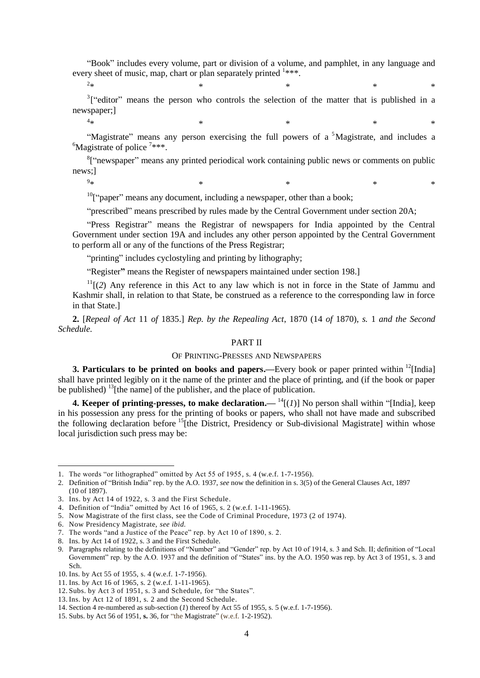"Book" includes every volume, part or division of a volume, and pamphlet, in any language and every sheet of music, map, chart or plan separately printed <sup>1\*\*\*</sup>.

 $2+$  $*$   $*$   $*$   $*$   $*$   $*$ 

 $3$ <sup>1</sup> editor" means the person who controls the selection of the matter that is published in a newspaper;]

 $4*$  $*$   $*$   $*$   $*$   $*$   $*$ 

"Magistrate" means any person exercising the full powers of a  $<sup>5</sup>$ Magistrate, and includes a</sup> <sup>6</sup>Magistrate of police<sup>7\*\*\*</sup>.

<sup>8</sup>["newspaper" means any printed periodical work containing public news or comments on public news;]

 $9<sub>+</sub>$  $*$   $*$   $*$   $*$   $*$   $*$ 

<sup>10</sup>["paper" means any document, including a newspaper, other than a book;

"prescribed" means prescribed by rules made by the Central Government under section 20A;

"Press Registrar" means the Registrar of newspapers for India appointed by the Central Government under section 19A and includes any other person appointed by the Central Government to perform all or any of the functions of the Press Registrar;

"printing" includes cyclostyling and printing by lithography;

"Register**"** means the Register of newspapers maintained under section 198.]

 $11$ [(2) Any reference in this Act to any law which is not in force in the State of Jammu and Kashmir shall, in relation to that State, be construed as a reference to the corresponding law in force in that State.]

**2.** [*Repeal of Act* 11 *of* 1835.] *Rep. by the Repealing Act*, 1870 (14 *of* 1870), *s.* 1 *and the Second Schedule.*

# PART II

### OF PRINTING-PRESSES AND NEWSPAPERS

**3. Particulars to be printed on books and papers.—Every book or paper printed within <sup>12</sup>[India]** shall have printed legibly on it the name of the printer and the place of printing, and (if the book or paper be published)  $^{13}$ [the name] of the publisher, and the place of publication.

**4. Keeper of printing-presses, to make declaration.—**  $^{14}[(1)]$  **No person shall within "[India], keep** in his possession any press for the printing of books or papers, who shall not have made and subscribed the following declaration before <sup>15</sup>[the District, Presidency or Sub-divisional Magistrate] within whose local jurisdiction such press may be:

1

8. Ins. by Act 14 of 1922, s. 3 and the First Schedule.

<sup>1.</sup> The words "or lithographed" omitted by Act 55 of 1955, s. 4 (w.e.f. 1-7-1956).

<sup>2.</sup> Definition of "British India" rep. by the A.O. 1937, *see* now the definition in s. 3(5) of the General Clauses Act, 1897 (10 of 1897).

<sup>3.</sup> Ins. by Act 14 of 1922, s. 3 and the First Schedule.

<sup>4.</sup> Definition of "India" omitted by Act 16 of 1965, s. 2 (w.e.f. 1-11-1965).

<sup>5.</sup> Now Magistrate of the first class, see the Code of Criminal Procedure, 1973 (2 of 1974).

<sup>6.</sup> Now Presidency Magistrate, *see ibid.*

<sup>7.</sup> The words "and a Justice of the Peace" rep. by Act 10 of 1890, s. 2.

<sup>9.</sup> Paragraphs relating to the definitions of "Number" and "Gender" rep. by Act 10 of 1914, s. 3 and Sch. II; definition of "Local Government" rep. by the A.O. 1937 and the definition of "States" ins. by the A.O. 1950 was rep. by Act 3 of 1951, s. 3 and Sch.

<sup>10.</sup> Ins. by Act 55 of 1955, s. 4 (w.e.f. 1-7-1956).

<sup>11.</sup> Ins. by Act 16 of 1965, s. 2 (w.e.f. 1-11-1965).

<sup>12.</sup> Subs. by Act 3 of 1951, s. 3 and Schedule, for "the States".

<sup>13.</sup> Ins. by Act 12 of 1891, s. 2 and the Second Schedule.

<sup>14.</sup> Section 4 re-numbered as sub-section (*1*) thereof by Act 55 of 1955, s. 5 (w.e.f. 1-7-1956).

<sup>15.</sup> Subs. by Act 56 of 1951, **s.** 36, for "the Magistrate" (w.e.f. 1-2-1952).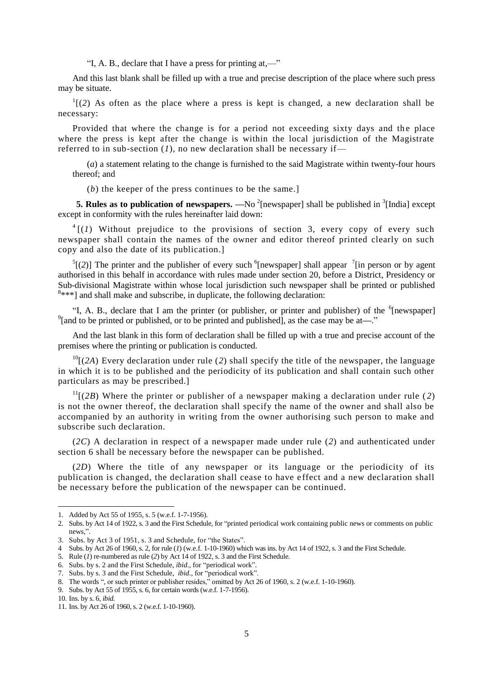"I, A. B., declare that I have a press for printing at,—"

And this last blank shall be filled up with a true and precise description of the place where such press may be situate.

 $\frac{1}{2}$  (2) As often as the place where a press is kept is changed, a new declaration shall be necessary:

Provided that where the change is for a period not exceeding sixty days and the place where the press is kept after the change is within the local jurisdiction of the Magistrate referred to in sub-section  $(I)$ , no new declaration shall be necessary if—

(*a*) a statement relating to the change is furnished to the said Magistrate within twenty-four hours thereof; and

(*b*) the keeper of the press continues to be the same.]

**5. Rules as to publication of newspapers.** —No <sup>2</sup>[newspaper] shall be published in <sup>3</sup>[India] except except in conformity with the rules hereinafter laid down:

 $^{4}$ [(*1*) Without prejudice to the provisions of section 3, every copy of every such newspaper shall contain the names of the owner and editor thereof printed clearly on such copy and also the date of its publication.]

 $<sup>5</sup>[(2)]$  The printer and the publisher of every such <sup>6</sup>[newspaper] shall appear <sup>7</sup>[in person or by agent</sup> authorised in this behalf in accordance with rules made under section 20, before a District, Presidency or Sub-divisional Magistrate within whose local jurisdiction such newspaper shall be printed or published <sup>8\*\*\*</sup>] and shall make and subscribe, in duplicate, the following declaration:

"I, A. B., declare that I am the printer (or publisher, or printer and publisher) of the  $\delta$ [newspaper] 9 [and to be printed or published, or to be printed and published], as the case may be at**—**."

And the last blank in this form of declaration shall be filled up with a true and precise account of the premises where the printing or publication is conducted.

 $^{10}$ [(2A) Every declaration under rule (2) shall specify the title of the newspaper, the language in which it is to be published and the periodicity of its publication and shall contain such other particulars as may be prescribed.]

 $11$ [(2B) Where the printer or publisher of a newspaper making a declaration under rule (2) is not the owner thereof, the declaration shall specify the name of the owner and shall also be accompanied by an authority in writing from the owner authorising such person to make and subscribe such declaration.

(*2C*) A declaration in respect of a newspaper made under rule (*2*) and authenticated under section 6 shall be necessary before the newspaper can be published.

(*2D*) Where the title of any newspaper or its language or the periodicity of its publication is changed, the declaration shall cease to have e ffect and a new declaration shall be necessary before the publication of the newspaper can be continued.

<sup>1.</sup> Added by Act 55 of 1955, s. 5 (w.e.f. 1-7-1956).

<sup>2.</sup> Subs. by Act 14 of 1922, s. 3 and the First Schedule, for "printed periodical work containing public news or comments on public news,".

<sup>3.</sup> Subs. by Act 3 of 1951, s. 3 and Schedule, for "the States".

<sup>4</sup> Subs. by Act 26 of 1960, s. 2, for rule (*1*) (w.e.f. 1-10-1960) which was ins. by Act 14 of 1922, s. 3 and the First Schedule.

<sup>5.</sup> Rule (*1*) re-numbered as rule (*2*) by Act 14 of 1922, s. 3 and the First Schedule.

<sup>6.</sup> Subs. by s. 2 and the First Schedule, *ibid*., for "periodical work".

<sup>7.</sup> Subs. by s. 3 and the First Schedule, *ibid.,* for "periodical work".

<sup>8.</sup> The words ", or such printer or publisher resides," omitted by Act 26 of 1960, s. 2 (w.e.f. 1-10-1960).

<sup>9.</sup> Subs. by Act 55 of 1955, s. 6, for certain words (w.e.f. 1-7-1956).

<sup>10.</sup> Ins. by s. 6, *ibid.*

<sup>11.</sup> Ins. by Act 26 of 1960, s. 2 (w.e.f. 1-10-1960).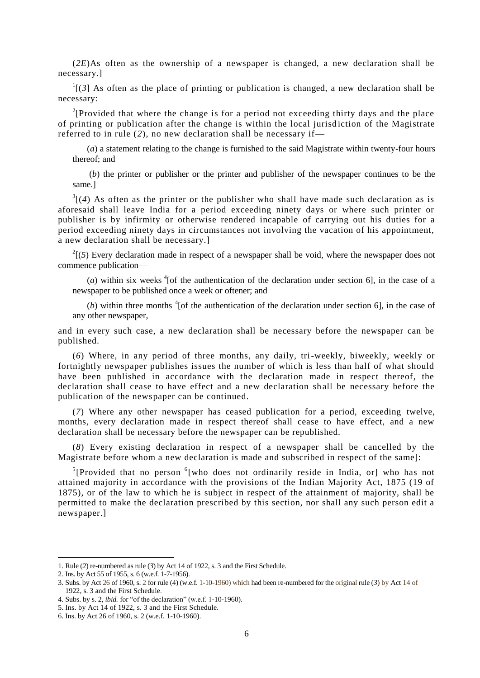(*2E*)As often as the ownership of a newspaper is changed, a new declaration shall be necessary.]

 $\frac{1}{3}$  (3) As often as the place of printing or publication is changed, a new declaration shall be necessary:

<sup>2</sup>[Provided that where the change is for a period not exceeding thirty days and the place of printing or publication after the change is within the local jurisd iction of the Magistrate referred to in rule (*2*), no new declaration shall be necessary if—

(*a*) a statement relating to the change is furnished to the said Magistrate within twenty-four hours thereof; and

(*b*) the printer or publisher or the printer and publisher of the newspaper continues to be the same.]

 $3[(4)$  As often as the printer or the publisher who shall have made such declaration as is aforesaid shall leave India for a period exceeding ninety days or where such printer or publisher is by infirmity or otherwise rendered incapable of carrying out his duties for a period exceeding ninety days in circumstances not involving the vacation of his appointment, a new declaration shall be necessary.]

 $2^{2}$ [(5) Every declaration made in respect of a newspaper shall be void, where the newspaper does not commence publication—

 $(a)$  within six weeks  $\frac{4}{1}$  of the authentication of the declaration under section 6], in the case of a newspaper to be published once a week or oftener; and

 $(b)$  within three months  ${}^{4}$  [of the authentication of the declaration under section 6], in the case of any other newspaper,

and in every such case, a new declaration shall be necessary before the newspaper can be published.

(*6*) Where, in any period of three months, any daily, tri-weekly, biweekly, weekly or fortnightly newspaper publishes issues the number of which is less than half of what should have been published in accordance with the declaration made in respect thereof, the declaration shall cease to have effect and a new declaration shall be necessary before the publication of the newspaper can be continued.

(*7*) Where any other newspaper has ceased publication for a period, exceeding twelve, months, every declaration made in respect thereof shall cease to have effect, and a new declaration shall be necessary before the newspaper can be republished.

(*8*) Every existing declaration in respect of a newspaper shall be cancelled by the Magistrate before whom a new declaration is made and subscribed in respect of the same]:

<sup>5</sup>[Provided that no person  $6$ [who does not ordinarily reside in India, or] who has not attained majority in accordance with the provisions of the Indian Majority Act, 1875 (19 of 1875), or of the law to which he is subject in respect of the attainment of majority, shall be permitted to make the declaration prescribed by this section, nor shall any such person edit a newspaper.]

<sup>1.</sup> Rule (*2*) re-numbered as rule (*3*) by Act 14 of 1922, s. 3 and the First Schedule.

<sup>2.</sup> Ins. by Act 55 of 1955, s. 6 (w.e.f. 1-7-1956).

<sup>3.</sup> Subs. by Act 26 of 1960, s. 2 for rule (4) (w.e.f. 1-10-1960) which had been re-numbered for the original rule (*3*) by Act 14 of 1922, s. 3 and the First Schedule.

<sup>4.</sup> Subs. by s. 2, *ibid.* for "of the declaration" (w.e.f. 1-10-1960).

<sup>5.</sup> Ins. by Act 14 of 1922, s. 3 and the First Schedule.

<sup>6.</sup> Ins. by Act 26 of 1960, s. 2 (w.e.f. 1-10-1960).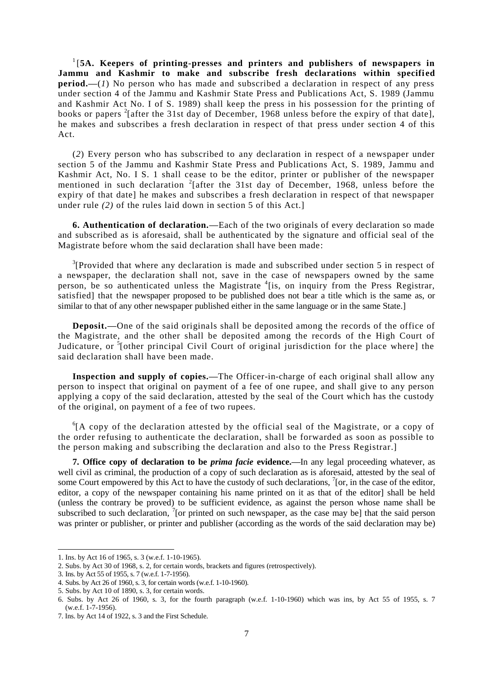<sup>1</sup>[5A. Keepers of printing-presses and printers and publishers of newspapers in Jammu and Kashmir to make and subscribe fresh declarations within specified **period.—**(*1*) No person who has made and subscribed a declaration in respect of any press under section 4 of the Jammu and Kashmir State Press and Publications Act, S. 1989 (Jammu and Kashmir Act No. I of S. 1989) shall keep the press in his possession for the printing of books or papers<sup>2</sup> [after the 31st day of December, 1968 unless before the expiry of that date], he makes and subscribes a fresh declaration in respect of that press under section 4 of this Act.

(*2*) Every person who has subscribed to any declaration in respect of a newspaper under section 5 of the Jammu and Kashmir State Press and Publications Act, S. 1989, Jammu and Kashmir Act, No. I S. 1 shall cease to be the editor, printer or publisher of the newspaper mentioned in such declaration <sup>2</sup> [after the 31st day of December, 1968, unless before the expiry of that date] he makes and subscribes a fresh declaration in respect of that newspaper under rule *(2)* of the rules laid down in section 5 of this Act.]

**6. Authentication of declaration.—**Each of the two originals of every declaration so made and subscribed as is aforesaid, shall be authenticated by the signature and official seal of the Magistrate before whom the said declaration shall have been made:

 $3$ [Provided that where any declaration is made and subscribed under section 5 in respect of a newspaper, the declaration shall not, save in the case of newspapers owned by the same person, be so authenticated unless the Magistrate  ${}^{4}$ [is, on inquiry from the Press Registrar, satisfied] that the newspaper proposed to be published does not bear a title which is the same as, or similar to that of any other newspaper published either in the same language or in the same State.]

**Deposit.—**One of the said originals shall be deposited among the records of the office of the Magistrate, and the other shall be deposited among the records of the High Court of Judicature, or <sup>5</sup>[other principal Civil Court of original jurisdiction for the place where] the said declaration shall have been made.

**Inspection and supply of copies.—**The Officer-in-charge of each original shall allow any person to inspect that original on payment of a fee of one rupee, and shall give to any person applying a copy of the said declaration, attested by the seal of the Court which has the custody of the original, on payment of a fee of two rupees.

<sup>6</sup>[A copy of the declaration attested by the official seal of the Magistrate, or a copy of the order refusing to authenticate the declaration, shall be forwarded as soon as possible to the person making and subscribing the declaration and also to the Press Registrar.]

**7. Office copy of declaration to be** *prima facie* **evidence.—**In any legal proceeding whatever, as well civil as criminal, the production of a copy of such declaration as is aforesaid, attested by the seal of some Court empowered by this Act to have the custody of such declarations, <sup>7</sup>[or, in the case of the editor, editor, a copy of the newspaper containing his name printed on it as that of the editor] shall be held (unless the contrary be proved) to be sufficient evidence, as against the person whose name shall be subscribed to such declaration,  $\frac{7}{1}$  or printed on such newspaper, as the case may be] that the said person was printer or publisher, or printer and publisher (according as the words of the said declaration may be)

<sup>1.</sup> Ins. by Act 16 of 1965, s. 3 (w.e.f. 1-10-1965).

<sup>2.</sup> Subs. by Act 30 of 1968, s. 2, for certain words, brackets and figures (retrospectively).

<sup>3.</sup> Ins. by Act 55 of 1955, s. 7 (w.e.f. 1-7-1956).

<sup>4.</sup> Subs. by Act 26 of 1960, s. 3, for certain words (w.e.f. 1-10-1960).

<sup>5.</sup> Subs. by Act 10 of 1890, s. 3, for certain words.

<sup>6.</sup> Subs. by Act 26 of 1960, s. 3, for the fourth paragraph (w.e.f. 1-10-1960) which was ins, by Act 55 of 1955, s. 7 (w.e.f. 1-7-1956).

<sup>7.</sup> Ins. by Act 14 of 1922, s. 3 and the First Schedule.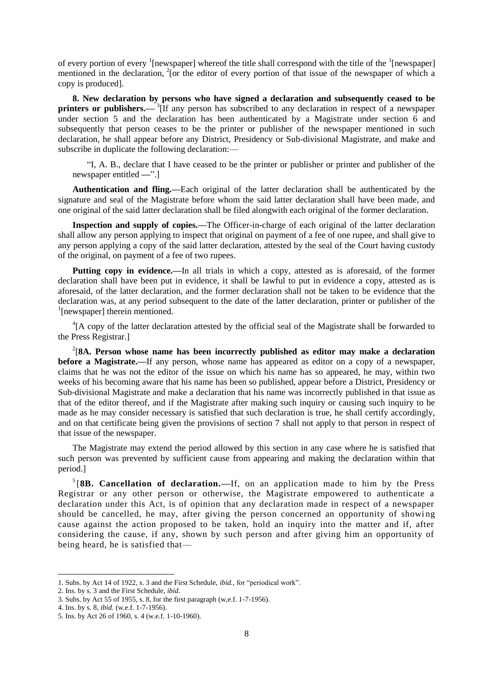of every portion of every <sup>1</sup>[newspaper] whereof the title shall correspond with the title of the <sup>1</sup>[newspaper] mentioned in the declaration, <sup>2</sup>[or the editor of every portion of that issue of the newspaper of which a copy is produced].

**8. New declaration by persons who have signed a declaration and subsequently ceased to be printers or publishers.**—<sup>3</sup>[If any person has subscribed to any declaration in respect of a newspaper under section 5 and the declaration has been authenticated by a Magistrate under section 6 and subsequently that person ceases to be the printer or publisher of the newspaper mentioned in such declaration, he shall appear before any District, Presidency or Sub-divisional Magistrate, and make and subscribe in duplicate the following declaration:—

"I, A. B., declare that I have ceased to be the printer or publisher or printer and publisher of the newspaper entitled **—**".]

**Authentication and fling.—**Each original of the latter declaration shall be authenticated by the signature and seal of the Magistrate before whom the said latter declaration shall have been made, and one original of the said latter declaration shall be filed alongwith each original of the former declaration.

Inspection and supply of copies.—The Officer-in-charge of each original of the latter declaration shall allow any person applying to inspect that original on payment of a fee of one rupee, and shall give to any person applying a copy of the said latter declaration, attested by the seal of the Court having custody of the original, on payment of a fee of two rupees.

Putting copy in evidence.—In all trials in which a copy, attested as is aforesaid, of the former declaration shall have been put in evidence, it shall be lawful to put in evidence a copy, attested as is aforesaid, of the latter declaration, and the former declaration shall not be taken to be evidence that the declaration was, at any period subsequent to the date of the latter declaration, printer or publisher of the <sup>1</sup>[newspaper] therein mentioned.

<sup>4</sup>[A copy of the latter declaration attested by the official seal of the Magistrate shall be forwarded to the Press Registrar.]

2 [**8A. Person whose name has been incorrectly published as editor may make a declaration before a Magistrate.—If** any person, whose name has appeared as editor on a copy of a newspaper, claims that he was not the editor of the issue on which his name has so appeared, he may, within two weeks of his becoming aware that his name has been so published, appear before a District, Presidency or Sub-divisional Magistrate and make a declaration that his name was incorrectly published in that issue as that of the editor thereof, and if the Magistrate after making such inquiry or causing such inquiry to be made as he may consider necessary is satisfied that such declaration is true, he shall certify accordingly, and on that certificate being given the provisions of section 7 shall not apply to that person in respect of that issue of the newspaper.

The Magistrate may extend the period allowed by this section in any case where he is satisfied that such person was prevented by sufficient cause from appearing and making the declaration within that period.]

<sup>5</sup>[8B. Cancellation of declaration.—If, on an application made to him by the Press Registrar or any other person or otherwise, the Magistrate empowered to authenticate a declaration under this Act, is of opinion that any declaration made in respect of a newspaper should be cancelled, he may, after giving the person concerned an opportunity of showing cause against the action proposed to be taken, hold an inquiry into the matter and if, after considering the cause, if any, shown by such person and after giving him an opportunity of being heard, he is satisfied that—

<sup>1.</sup> Subs. by Act 14 of 1922, s. 3 and the First Schedule, *ibid.,* for "periodical work".

<sup>2.</sup> Ins. by s. 3 and the First Schedule, *ibid*.

<sup>3.</sup> Subs. by Act 55 of 1955, s. 8, for the first paragraph (w,e.f. 1-7-1956).

<sup>4.</sup> Ins. by s. 8, *ibid.* (w.e.f. 1-7-1956).

<sup>5.</sup> Ins. by Act 26 of 1960, s. 4 (w.e.f. 1-10-1960).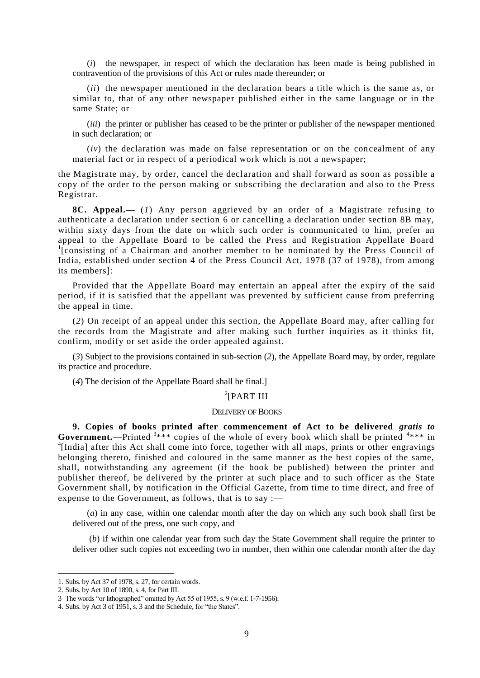(*i*) the newspaper, in respect of which the declaration has been made is being published in contravention of the provisions of this Act or rules made thereunder; or

(*ii*) the newspaper mentioned in the declaration bears a title which is the same as, or similar to, that of any other newspaper published either in the same language or in the same State; or

(*iii*) the printer or publisher has ceased to be the printer or publisher of the newspaper mentioned in such declaration; or

(*iv*) the declaration was made on false representation or on the concealment of any material fact or in respect of a periodical work which is not a newspaper;

the Magistrate may, by order, cancel the decl aration and shall forward as soon as possible a copy of the order to the person making or subscribing the declaration and also to the Press Registrar.

**8C. Appeal.—** (*1*) Any person aggrieved by an order of a Magistrate refusing to authenticate a declaration under section 6 or cancelling a declaration under section 8B may, within sixty days from the date on which such order is communicated to him, prefer an appeal to the Appellate Board to be called the Press and Registration Appellate Board <sup>1</sup>[consisting of a Chairman and another member to be nominated by the Press Council of India, established under section 4 of the Press Council Act, 1978 (37 of 1978), from among its members]:

Provided that the Appellate Board may entertain an appeal after the expiry of the said period, if it is satisfied that the appellant was prevented by sufficient cause from preferring the appeal in time.

(*2*) On receipt of an appeal under this section, the Appellate Board may, after calling for the records from the Magistrate and after making such further inquiries as it thinks fit, confirm, modify or set aside the order appealed against.

(*3*) Subject to the provisions contained in sub-section (*2*), the Appellate Board may, by order, regulate its practice and procedure.

(*4*) The decision of the Appellate Board shall be final.]

# 2 [PART III

## DELIVERY OF BOOKS

**9. Copies of books printed after commencement of Act to be delivered** *gratis to*  **Government.**—Printed  $3***$  copies of the whole of every book which shall be printed  $4***$  in <sup>4</sup>[India] after this Act shall come into force, together with all maps, prints or other engravings belonging thereto, finished and coloured in the same manner as the best copies of the same, shall, notwithstanding any agreement (if the book be published) between the printer and publisher thereof, be delivered by the printer at such place and to such officer as the State Government shall, by notification in the Official Gazette, from time to time direct, and free of expense to the Government, as follows, that is to say :—

(*a*) in any case, within one calendar month after the day on which any such book shall first be delivered out of the press, one such copy, and

(*b*) if within one calendar year from such day the State Government shall require the printer to deliver other such copies not exceeding two in number, then within one calendar month after the day

<sup>1.</sup> Subs. by Act 37 of 1978, s. 27, for certain words.

<sup>2.</sup> Subs. by Act 10 of 1890, s. 4, for Part III.

<sup>3</sup> The words "or lithographed" omitted by Act 55 of 1955, s. 9 (w.e.f. 1-7-1956).

<sup>4.</sup> Subs. by Act 3 of 1951, s. 3 and the Schedule, for "the States".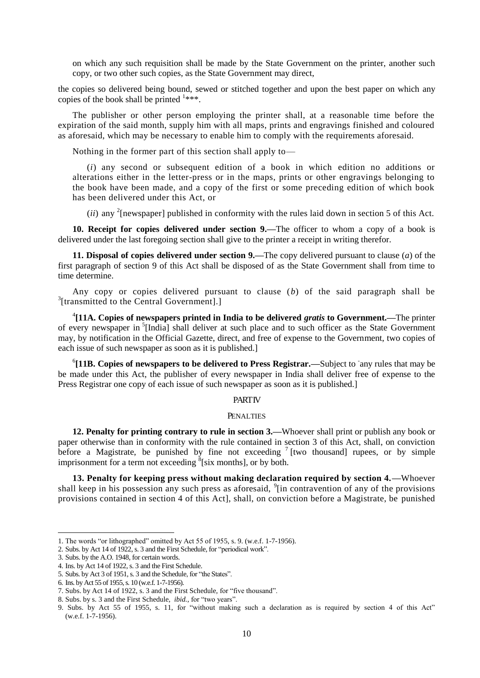on which any such requisition shall be made by the State Government on the printer, another such copy, or two other such copies, as the State Government may direct,

the copies so delivered being bound, sewed or stitched together and upon the best paper on which any copies of the book shall be printed  $1***$ .

The publisher or other person employing the printer shall, at a reasonable time before the expiration of the said month, supply him with all maps, prints and engravings finished and coloured as aforesaid, which may be necessary to enable him to comply with the requirements aforesaid.

Nothing in the former part of this section shall apply to—

(*i*) any second or subsequent edition of a book in which edition no additions or alterations either in the letter-press or in the maps, prints or other engravings belonging to the book have been made, and a copy of the first or some preceding edition of which book has been delivered under this Act, or

 $(ii)$  any <sup>2</sup> [newspaper] published in conformity with the rules laid down in section 5 of this Act.

**10. Receipt for copies delivered under section 9.—**The officer to whom a copy of a book is delivered under the last foregoing section shall give to the printer a receipt in writing therefor.

**11. Disposal of copies delivered under section 9.—**The copy delivered pursuant to clause (*a*) of the first paragraph of section 9 of this Act shall be disposed of as the State Government shall from time to time determine.

Any copy or copies delivered pursuant to clause (*b*) of the said paragraph shall be <sup>3</sup>[transmitted to the Central Government].]

4 **[11A. Copies of newspapers printed in India to be delivered** *gratis* **to Government.—**The printer of every newspaper in <sup>5</sup>[India] shall deliver at such place and to such officer as the State Government may, by notification in the Official Gazette, direct, and free of expense to the Government, two copies of each issue of such newspaper as soon as it is published.]

<sup>6</sup>[11B. Copies of newspapers to be delivered to Press Registrar.—Subject to any rules that may be be made under this Act, the publisher of every newspaper in India shall deliver free of expense to the Press Registrar one copy of each issue of such newspaper as soon as it is published.]

## **PARTIV**

### **PENALTIES**

**12. Penalty for printing contrary to rule in section 3.—**Whoever shall print or publish any book or paper otherwise than in conformity with the rule contained in section 3 of this Act, shall, on conviction before a Magistrate, be punished by fine not exceeding  $\frac{7}{1}$  [two thousand] rupees, or by simple imprisonment for a term not exceeding  $\frac{8}{3}$ [six months], or by both.

**13. Penalty for keeping press without making declaration required by section 4.—**Whoever shall keep in his possession any such press as aforesaid, <sup>9</sup>[in contravention of any of the provisions provisions contained in section 4 of this Act], shall, on conviction before a Magistrate, be punished

<sup>1.</sup> The words "or lithographed" omitted by Act 55 of 1955, s. 9. (w.e.f. 1-7-1956).

<sup>2.</sup> Subs. by Act 14 of 1922, s. 3 and the First Schedule, for "periodical work".

<sup>3.</sup> Subs. by the A.O. 1948, for certain words.

<sup>4.</sup> Ins. by Act 14 of 1922, s. 3 and the First Schedule.

<sup>5.</sup> Subs. by Act 3 of 1951, s. 3 and the Schedule, for "the States".

<sup>6.</sup> Ins. by Act 55 of 1955, s. 10 (w.e.f. 1-7-1956).

<sup>7.</sup> Subs. by Act 14 of 1922, s. 3 and the First Schedule, for "five thousand".

<sup>8.</sup> Subs. by s. 3 and the First Schedule, *ibid.,* for "two years".

<sup>9.</sup> Subs. by Act 55 of 1955, s. 11, for "without making such a declaration as is required by section 4 of this Act" (w.e.f. 1-7-1956).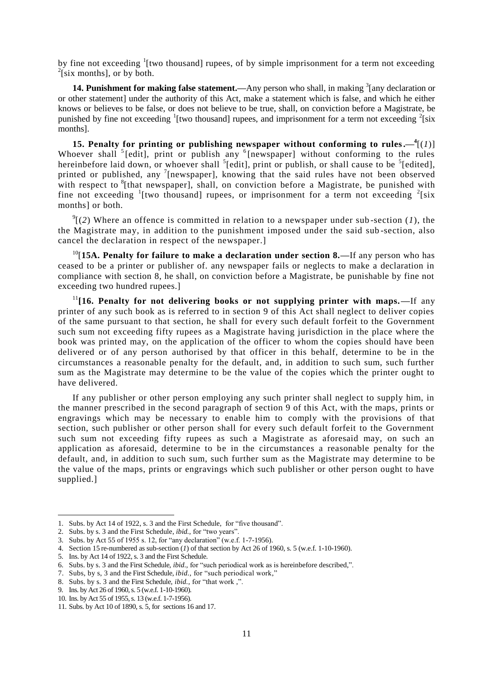by fine not exceeding  $\frac{1}{2}$  [two thousand] rupees, of by simple imprisonment for a term not exceeding  $2$ [six months], or by both.

14. Punishment for making false statement.—Any person who shall, in making <sup>3</sup>[any declaration or or other statement] under the authority of this Act, make a statement which is false, and which he either knows or believes to be false, or does not believe to be true, shall, on conviction before a Magistrate, be punished by fine not exceeding <sup>1</sup>[two thousand] rupees, and imprisonment for a term not exceeding <sup>2</sup>[six months].

**15. Penalty for printing or publishing newspaper without conforming to rules.**— $\frac{4}{1}$ Whoever shall  $5$  [edit], print or publish any  $6$  [newspaper] without conforming to the rules hereinbefore laid down, or whoever shall  ${}^{5}$ [edit], print or publish, or shall cause to be  ${}^{5}$ [edited], printed or published, any <sup>7</sup>[newspaper], knowing that the said rules have not been observed with respect to  ${}^{8}$ [that newspaper], shall, on conviction before a Magistrate, be punished with fine not exceeding  $\frac{1}{1}$  [two thousand] rupees, or imprisonment for a term not exceeding  $\frac{2}{1}$ [six months] or both.

 $^{9}$ [(2) Where an offence is committed in relation to a newspaper under sub-section (*1*), the the Magistrate may, in addition to the punishment imposed under the said sub -section, also cancel the declaration in respect of the newspaper.]

<sup>10</sup>[**15A. Penalty for failure to make a declaration under section 8.—**If any person who has ceased to be a printer or publisher of. any newspaper fails or neglects to make a declaration in compliance with section 8, he shall, on conviction before a Magistrate, be punishable by fine not exceeding two hundred rupees.]

<sup>11</sup>**[16. Penalty for not delivering books or not supplying printer with maps.—**If any printer of any such book as is referred to in section 9 of this Act shall neglect to deliver copies of the same pursuant to that section, he shall for every such default forfeit to the Government such sum not exceeding fifty rupees as a Magistrate having jurisdiction in the place where the book was printed may, on the application of the officer to whom the copies should have been delivered or of any person authorised by that officer in this behalf, determine to be in the circumstances a reasonable penalty for the default, and, in addition to such sum, such further sum as the Magistrate may determine to be the value of the copies which the printer ought to have delivered.

If any publisher or other person employing any such printer shall neglect to supply him, in the manner prescribed in the second paragraph of section 9 of this Act, with the maps, prints or engravings which may be necessary to enable him to comply with the provisions of that section, such publisher or other person shall for every such default forfeit to the Government such sum not exceeding fifty rupees as such a Magistrate as aforesaid may, on such an application as aforesaid, determine to be in the circumstances a reasonable penalty for the default, and, in addition to such sum, such further sum as the Magistrate may determine to be the value of the maps, prints or engravings which such publisher or other person ought to have supplied.]

<sup>1.</sup> Subs. by Act 14 of 1922, s. 3 and the First Schedule, for "five thousand".

<sup>2.</sup> Subs. by s. 3 and the First Schedule, *ibid.,* for "two years".

<sup>3.</sup> Subs. by Act 55 of 1955 s. 12, for "any declaration" (w.e.f. 1-7-1956).

<sup>4.</sup> Section 15 re-numbered as sub-section (*1*) of that section by Act 26 of 1960, s. 5 (w.e.f. 1-10-1960).

<sup>5.</sup> Ins. by Act 14 of 1922, s. 3 and the First Schedule.

<sup>6.</sup> Subs. by s. 3 and the First Schedule, *ibid.,* for "such periodical work as is hereinbefore described,".

<sup>7.</sup> Subs, by s, 3 and the First Schedule, *ibid.,* for "such periodical work,"

<sup>8.</sup> Subs. by s. 3 and the First Schedule, *ibid.,* for "that work ,".

<sup>9.</sup> Ins. by Act 26 of 1960, s. 5 (w.e.f. 1-10-1960).

<sup>10.</sup> Ins. by Act 55 of 1955, s. 13 (w.e.f. 1-7-1956).

<sup>11.</sup> Subs. by Act 10 of 1890, s. 5, for sections 16 and 17.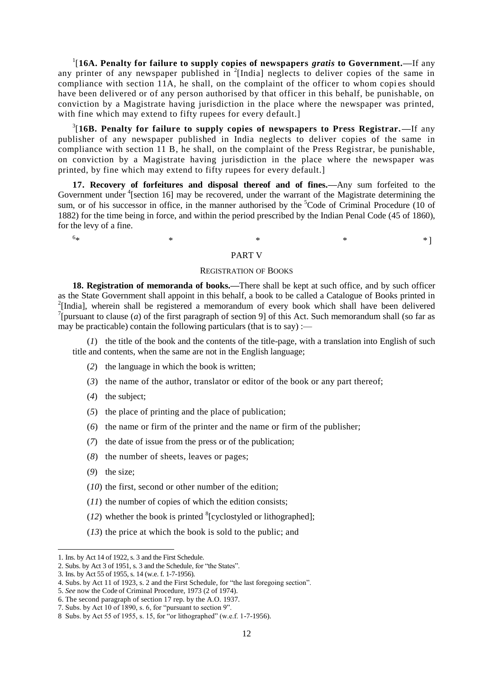1 [**16A. Penalty for failure to supply copies of newspapers** *gratis* **to Government.—**If any any printer of any newspaper published in  $2$ [India] neglects to deliver copies of the same in compliance with section 11A, he shall, on the complaint of the officer to whom copies should have been delivered or of any person authorised by that officer in this behalf, be punishable, on conviction by a Magistrate having jurisdiction in the place where the newspaper was printed, with fine which may extend to fifty rupees for every default.]

3 [**16B. Penalty for failure to supply copies of newspapers to Press Registrar.—**If any publisher of any newspaper published in India neglects to deliver copies of the same in compliance with section 11 B, he shall, on the complaint of the Press Registrar, be punishable, on conviction by a Magistrate having jurisdiction in the place where the newspaper was printed, by fine which may extend to fifty rupees for every default.]

**17. Recovery of forfeitures and disposal thereof and of fines.—**Any sum forfeited to the Government under <sup>4</sup>[section 16] may be recovered, under the warrant of the Magistrate determining the sum, or of his successor in office, in the manner authorised by the <sup>5</sup>Code of Criminal Procedure (10 of 1882) for the time being in force, and within the period prescribed by the Indian Penal Code (45 of 1860), for the levy of a fine.

 $6<sub>3k</sub>$  $*$   $*$   $*$   $*$   $*$   $*$   $*$   $*$ 

### PART V

## REGISTRATION OF BOOKS

**18. Registration of memoranda of books.—**There shall be kept at such office, and by such officer as the State Government shall appoint in this behalf, a book to be called a Catalogue of Books printed in  $2$ [India], wherein shall be registered a memorandum of every book which shall have been delivered <sup>7</sup>[pursuant to clause (*a*) of the first paragraph of section 9] of this Act. Such memorandum shall (so far as may be practicable) contain the following particulars (that is to say) :—

(*1*) the title of the book and the contents of the title-page, with a translation into English of such title and contents, when the same are not in the English language;

- (*2*) the language in which the book is written;
- (*3*) the name of the author, translator or editor of the book or any part thereof;
- (*4*) the subject;
- (*5*) the place of printing and the place of publication;
- (*6*) the name or firm of the printer and the name or firm of the publisher;
- (*7*) the date of issue from the press or of the publication;
- (*8*) the number of sheets, leaves or pages;
- (*9*) the size;

- (*10*) the first, second or other number of the edition;
- (*11*) the number of copies of which the edition consists;
- $(12)$  whether the book is printed <sup>8</sup>[cyclostyled or lithographed];
- (*13*) the price at which the book is sold to the public; and

<sup>1.</sup> Ins. by Act 14 of 1922, s. 3 and the First Schedule.

<sup>2.</sup> Subs. by Act 3 of 1951, s. 3 and the Schedule, for "the States".

<sup>3.</sup> Ins. by Act 55 of 1955, s. 14 (w.e. f. 1-7-1956).

<sup>4.</sup> Subs. by Act 11 of 1923, s. 2 and the First Schedule, for "the last foregoing section".

<sup>5.</sup> *See* now the Code of Criminal Procedure, 1973 (2 of 1974).

<sup>6.</sup> The second paragraph of section 17 rep. by the A.O. 1937.

<sup>7.</sup> Subs. by Act 10 of 1890, s. 6, for "pursuant to section 9".

<sup>8</sup> Subs. by Act 55 of 1955, s. 15, for "or lithographed" (w.e.f. 1-7-1956).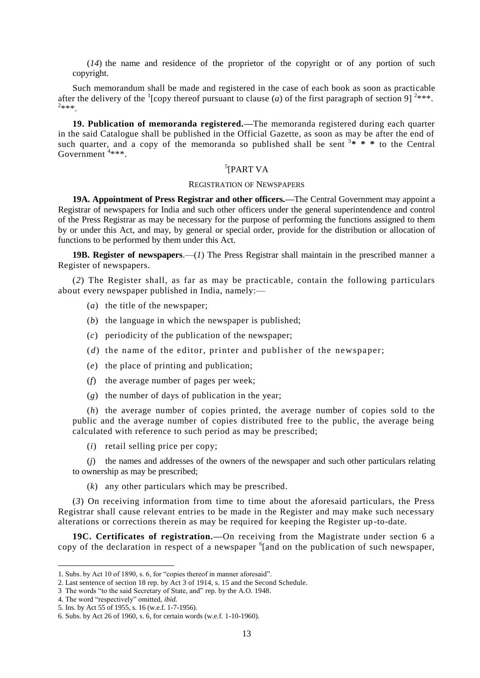(*14*) the name and residence of the proprietor of the copyright or of any portion of such copyright.

Such memorandum shall be made and registered in the case of each book as soon as practicable after the delivery of the <sup>1</sup>[copy thereof pursuant to clause (*a*) of the first paragraph of section 9] <sup>2\*\*\*</sup>.  $^{2}$ \*\*\*.

**19. Publication of memoranda registered.—**The memoranda registered during each quarter in the said Catalogue shall be published in the Official Gazette, as soon as may be after the end of such quarter, and a copy of the memoranda so published shall be sent  $3* * *$  to the Central Government<sup>4\*\*\*</sup>.

# 5 [PART VA

## REGISTRATION OF NEWSPAPERS

**19A. Appointment of Press Registrar and other officers.—**The Central Government may appoint a Registrar of newspapers for India and such other officers under the general superintendence and control of the Press Registrar as may be necessary for the purpose of performing the functions assigned to them by or under this Act, and may, by general or special order, provide for the distribution or allocation of functions to be performed by them under this Act.

**19B. Register of newspapers**.—(*1*) The Press Registrar shall maintain in the prescribed manner a Register of newspapers.

(*2*) The Register shall, as far as may be practicable, contain the following p articulars about every newspaper published in India, namely:—

- (*a*) the title of the newspaper;
- (*b*) the language in which the newspaper is published;
- (*c*) periodicity of the publication of the newspaper;
- (*d*) the name of the editor, printer and publisher of the newspaper;
- (*e*) the place of printing and publication;
- (*f*) the average number of pages per week;
- (*g*) the number of days of publication in the year;

(*h*) the average number of copies printed, the average number of copies sold to the public and the average number of copies distributed free to the public, the average being calculated with reference to such period as may be prescribed;

(*i*) retail selling price per copy;

(*j*) the names and addresses of the owners of the newspaper and such other particulars relating to ownership as may be prescribed;

(*k*) any other particulars which may be prescribed.

(*3*) On receiving information from time to time about the aforesaid particulars, the Press Registrar shall cause relevant entries to be made in the Register and may make such necessary alterations or corrections therein as may be required for keeping the Register up -to-date.

**19C. Certificates of registration.—**On receiving from the Magistrate under section 6 a copy of the declaration in respect of a newspaper  $6$  and on the publication of such newspaper,

4. The word "respectively" omitted, *ibid.*

<sup>1.</sup> Subs. by Act 10 of 1890, s. 6, for "copies thereof in manner aforesaid".

<sup>2.</sup> Last sentence of section 18 rep. by Act 3 of 1914, s. 15 and the Second Schedule.

<sup>3</sup> The words "to the said Secretary of State, and" rep. by the A.O. 1948.

<sup>5.</sup> Ins. by Act 55 of 1955, s. 16 (w.e.f. 1-7-1956).

<sup>6.</sup> Subs. by Act 26 of 1960, s. 6, for certain words (w.e.f. 1-10-1960).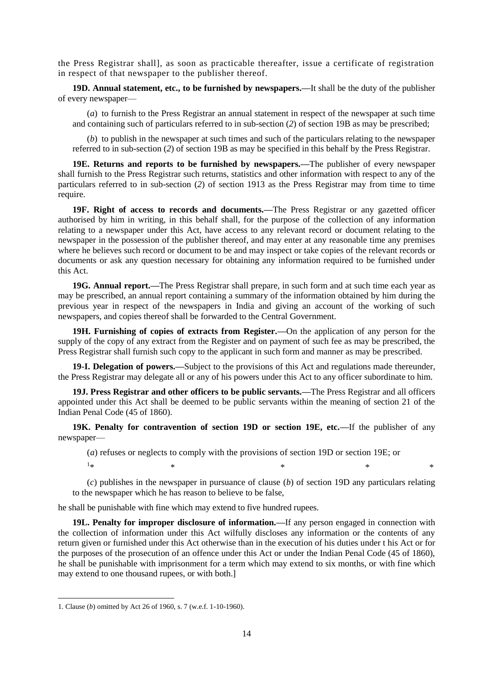the Press Registrar shall], as soon as practicable thereafter, issue a certificate of registration in respect of that newspaper to the publisher thereof.

**19D. Annual statement, etc., to be furnished by newspapers.—**It shall be the duty of the publisher of every newspaper—

(*a*) to furnish to the Press Registrar an annual statement in respect of the newspaper at such time and containing such of particulars referred to in sub-section (*2*) of section 19B as may be prescribed;

(*b*) to publish in the newspaper at such times and such of the particulars relating to the newspaper referred to in sub-section (*2*) of section 19B as may be specified in this behalf by the Press Registrar.

**19E. Returns and reports to be furnished by newspapers.—**The publisher of every newspaper shall furnish to the Press Registrar such returns, statistics and other information with respect to any of the particulars referred to in sub-section (*2*) of section 1913 as the Press Registrar may from time to time require.

**19F. Right of access to records and documents.—**The Press Registrar or any gazetted officer authorised by him in writing, in this behalf shall, for the purpose of the collection of any information relating to a newspaper under this Act, have access to any relevant record or document relating to the newspaper in the possession of the publisher thereof, and may enter at any reasonable time any premises where he believes such record or document to be and may inspect or take copies of the relevant records or documents or ask any question necessary for obtaining any information required to be furnished under this Act.

**19G. Annual report.—**The Press Registrar shall prepare, in such form and at such time each year as may be prescribed, an annual report containing a summary of the information obtained by him during the previous year in respect of the newspapers in India and giving an account of the working of such newspapers, and copies thereof shall be forwarded to the Central Government.

**19H. Furnishing of copies of extracts from Register.—**On the application of any person for the supply of the copy of any extract from the Register and on payment of such fee as may be prescribed, the Press Registrar shall furnish such copy to the applicant in such form and manner as may be prescribed.

**19-I. Delegation of powers.—**Subject to the provisions of this Act and regulations made thereunder, the Press Registrar may delegate all or any of his powers under this Act to any officer subordinate to him.

**19J. Press Registrar and other officers to be public servants.—**The Press Registrar and all officers appointed under this Act shall be deemed to be public servants within the meaning of section 21 of the Indian Penal Code (45 of 1860).

**19K. Penalty for contravention of section 19D or section 19E, etc.—**If the publisher of any newspaper—

(*a*) refuses or neglects to comply with the provisions of section 19D or section 19E; or

(*c*) publishes in the newspaper in pursuance of clause (*b*) of section 19D any particulars relating to the newspaper which he has reason to believe to be false,

 $*$   $*$   $*$   $*$   $*$   $*$   $*$ 

he shall be punishable with fine which may extend to five hundred rupees.

**19L. Penalty for improper disclosure of information.—**If any person engaged in connection with the collection of information under this Act wilfully discloses any information or the contents of any return given or furnished under this Act otherwise than in the execution of his duties under t his Act or for the purposes of the prosecution of an offence under this Act or under the Indian Penal Code (45 of 1860), he shall be punishable with imprisonment for a term which may extend to six months, or with fine which may extend to one thousand rupees, or with both.]

 $1 +$ 

<sup>1.</sup> Clause (*b*) omitted by Act 26 of 1960, s. 7 (w.e.f. 1-10-1960).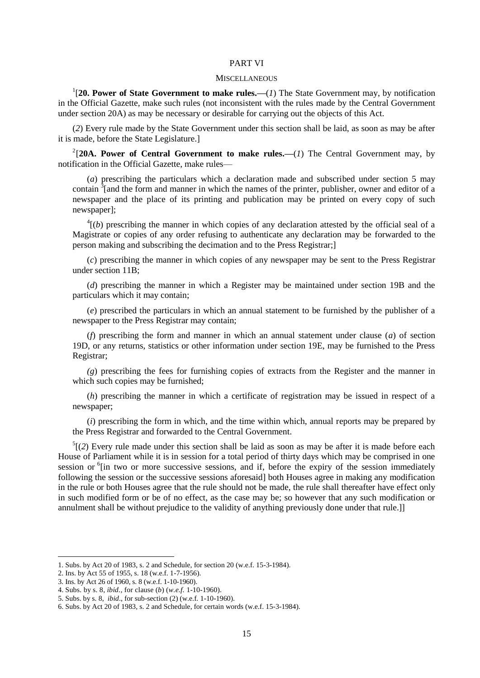### PART VI

### **MISCELLANEOUS**

<sup>1</sup>[20. Power of State Government to make rules.—(*1*) The State Government may, by notification in the Official Gazette, make such rules (not inconsistent with the rules made by the Central Government under section 20A) as may be necessary or desirable for carrying out the objects of this Act.

(*2*) Every rule made by the State Government under this section shall be laid, as soon as may be after it is made, before the State Legislature.]

<sup>2</sup>[20A. Power of Central Government to make rules.— $(1)$  The Central Government may, by notification in the Official Gazette, make rules—

(*a*) prescribing the particulars which a declaration made and subscribed under section 5 may contain <sup>3</sup> [and the form and manner in which the names of the printer, publisher, owner and editor of a newspaper and the place of its printing and publication may be printed on every copy of such newspaper];

 $<sup>4</sup>$ [(*b*) prescribing the manner in which copies of any declaration attested by the official seal of a</sup> Magistrate or copies of any order refusing to authenticate any declaration may be forwarded to the person making and subscribing the decimation and to the Press Registrar;]

(*c*) prescribing the manner in which copies of any newspaper may be sent to the Press Registrar under section 11B;

(*d*) prescribing the manner in which a Register may be maintained under section 19B and the particulars which it may contain;

(*e*) prescribed the particulars in which an annual statement to be furnished by the publisher of a newspaper to the Press Registrar may contain;

(*f*) prescribing the form and manner in which an annual statement under clause (*a*) of section 19D, or any returns, statistics or other information under section 19E, may be furnished to the Press Registrar;

*(g*) prescribing the fees for furnishing copies of extracts from the Register and the manner in which such copies may be furnished;

(*h*) prescribing the manner in which a certificate of registration may be issued in respect of a newspaper;

(*i*) prescribing the form in which, and the time within which, annual reports may be prepared by the Press Registrar and forwarded to the Central Government.

 $<sup>5</sup>$ [(2) Every rule made under this section shall be laid as soon as may be after it is made before each</sup> House of Parliament while it is in session for a total period of thirty days which may be comprised in one session or <sup>6</sup>[in two or more successive sessions, and if, before the expiry of the session immediately following the session or the successive sessions aforesaid] both Houses agree in making any modification in the rule or both Houses agree that the rule should not be made, the rule shall thereafter have effect only in such modified form or be of no effect, as the case may be; so however that any such modification or annulment shall be without prejudice to the validity of anything previously done under that rule.]]

<sup>1.</sup> Subs. by Act 20 of 1983, s. 2 and Schedule, for section 20 (w.e.f. 15-3-1984).

<sup>2.</sup> Ins. by Act 55 of 1955, s. 18 (w.e.f. 1-7-1956).

<sup>3.</sup> Ins. by Act 26 of 1960, s. 8 (w.e.f. 1-10-1960).

<sup>4.</sup> Subs. by s. 8, *ibid.,* for clause (*b*) (*w.e.f.* 1-10-1960).

<sup>5.</sup> Subs. by s. 8, *ibid*., for sub-section (2) (w.e.f. 1-10-1960).

<sup>6.</sup> Subs. by Act 20 of 1983, s. 2 and Schedule, for certain words (w.e.f. 15-3-1984).